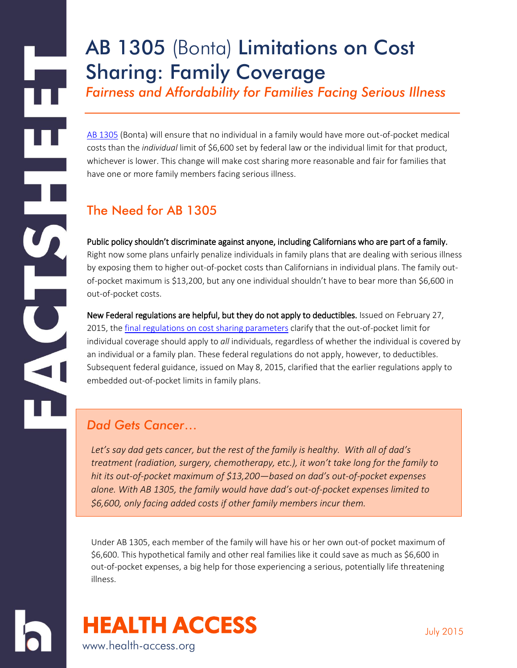# AB 1305 (Bonta) Limitations on Cost Sharing: Family Coverage

*Fairness and Affordability for Families Facing Serious Illness* 

[AB 1305](http://leginfo.legislature.ca.gov/faces/billNavClient.xhtml?bill_id=201520160AB1305) (Bonta) will ensure that no individual in a family would have more out-of-pocket medical costs than the *individual* limit of \$6,600 set by federal law or the individual limit for that product, whichever is lower. This change will make cost sharing more reasonable and fair for families that have one or more family members facing serious illness.

## The Need for AB 1305

H

U

J

Public policy shouldn't discriminate against anyone, including Californians who are part of a family. Right now some plans unfairly penalize individuals in family plans that are dealing with serious illness by exposing them to higher out-of-pocket costs than Californians in individual plans. The family outof-pocket maximum is \$13,200, but any one individual shouldn't have to bear more than \$6,600 in out-of-pocket costs.

New Federal regulations are helpful, but they do not apply to deductibles. Issued on February 27, 2015, th[e final regulations on cost sharing parameters](http://www.gpo.gov/fdsys/pkg/FR-2015-02-27/pdf/2015-03751.pdf) clarify that the out-of-pocket limit for individual coverage should apply to *all* individuals, regardless of whether the individual is covered by an individual or a family plan. These federal regulations do not apply, however, to deductibles. Subsequent federal guidance, issued on May 8, 2015, clarified that the earlier regulations apply to embedded out-of-pocket limits in family plans.

#### *Dad Gets Cancer*…

*Let's say dad gets cancer, but the rest of the family is healthy. With all of dad's treatment (radiation, surgery, chemotherapy, etc.), it won't take long for the family to hit its out-of-pocket maximum of \$13,200—based on dad's out-of-pocket expenses alone. With AB 1305, the family would have dad's out-of-pocket expenses limited to \$6,600, only facing added costs if other family members incur them.*

Under AB 1305, each member of the family will have his or her own out-of pocket maximum of \$6,600. This hypothetical family and other real families like it could save as much as \$6,600 in out-of-pocket expenses, a big help for those experiencing a serious, potentially life threatening illness.